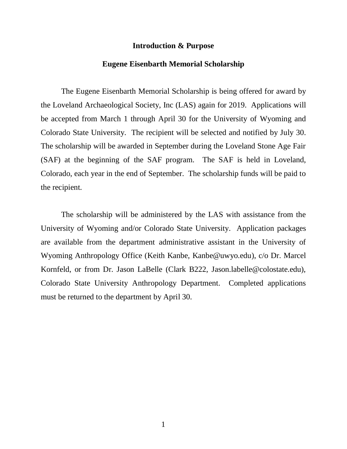#### **Introduction & Purpose**

#### **Eugene Eisenbarth Memorial Scholarship**

The Eugene Eisenbarth Memorial Scholarship is being offered for award by the Loveland Archaeological Society, Inc (LAS) again for 2019. Applications will be accepted from March 1 through April 30 for the University of Wyoming and Colorado State University. The recipient will be selected and notified by July 30. The scholarship will be awarded in September during the Loveland Stone Age Fair (SAF) at the beginning of the SAF program. The SAF is held in Loveland, Colorado, each year in the end of September. The scholarship funds will be paid to the recipient.

The scholarship will be administered by the LAS with assistance from the University of Wyoming and/or Colorado State University. Application packages are available from the department administrative assistant in the University of Wyoming Anthropology Office (Keith Kanbe, Kanbe@uwyo.edu), c/o Dr. Marcel Kornfeld, or from Dr. Jason LaBelle (Clark B222, Jason.labelle@colostate.edu), Colorado State University Anthropology Department. Completed applications must be returned to the department by April 30.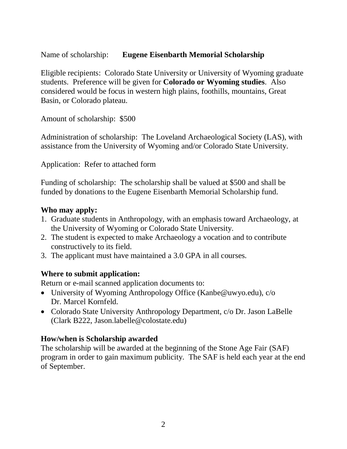Name of scholarship: **Eugene Eisenbarth Memorial Scholarship**

Eligible recipients: Colorado State University or University of Wyoming graduate students. Preference will be given for **Colorado or Wyoming studies**. Also considered would be focus in western high plains, foothills, mountains, Great Basin, or Colorado plateau.

Amount of scholarship: \$500

Administration of scholarship: The Loveland Archaeological Society (LAS), with assistance from the University of Wyoming and/or Colorado State University.

Application: Refer to attached form

Funding of scholarship: The scholarship shall be valued at \$500 and shall be funded by donations to the Eugene Eisenbarth Memorial Scholarship fund.

## **Who may apply:**

- 1. Graduate students in Anthropology, with an emphasis toward Archaeology, at the University of Wyoming or Colorado State University.
- 2. The student is expected to make Archaeology a vocation and to contribute constructively to its field.
- 3. The applicant must have maintained a 3.0 GPA in all courses.

# **Where to submit application:**

Return or e-mail scanned application documents to:

- University of Wyoming Anthropology Office (Kanbe@uwyo.edu), c/o Dr. Marcel Kornfeld.
- Colorado State University Anthropology Department, c/o Dr. Jason LaBelle (Clark B222, Jason.labelle@colostate.edu)

# **How/when is Scholarship awarded**

The scholarship will be awarded at the beginning of the Stone Age Fair (SAF) program in order to gain maximum publicity. The SAF is held each year at the end of September.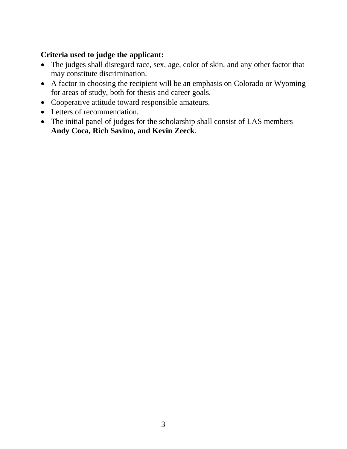# **Criteria used to judge the applicant:**

- The judges shall disregard race, sex, age, color of skin, and any other factor that may constitute discrimination.
- A factor in choosing the recipient will be an emphasis on Colorado or Wyoming for areas of study, both for thesis and career goals.
- Cooperative attitude toward responsible amateurs.
- Letters of recommendation.
- The initial panel of judges for the scholarship shall consist of LAS members **Andy Coca, Rich Savino, and Kevin Zeeck**.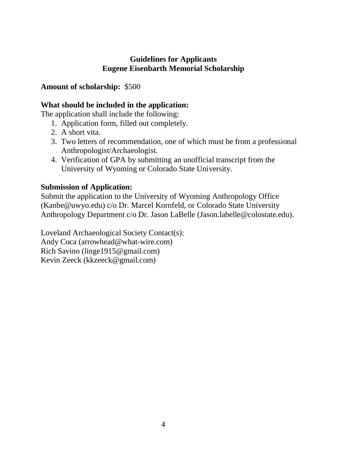#### **Guidelines for Applicants Eugene Eisenbarth Memorial Scholarship**

# **Amount of scholarship:** \$500

# **What should be included in the application:**

The application shall include the following:

- 1. Application form, filled out completely.
- 2. A short vita.
- 3. Two letters of recommendation, one of which must be from a professional Anthropologist/Archaeologist.
- 4. Verification of GPA by submitting an unofficial transcript from the University of Wyoming or Colorado State University.

## **Submission of Application:**

Submit the application to the University of Wyoming Anthropology Office (Kanbe@uwyo.edu) c/o Dr. Marcel Kornfeld, or Colorado State University Anthropology Department c/o Dr. Jason LaBelle (Jason.labelle@colostate.edu).

Loveland Archaeological Society Contact(s): Andy Coca (arrowhead@what-wire.com) Rich Savino (linge1915@gmail.com) Kevin Zeeck (kkzeeck@gmail.com)